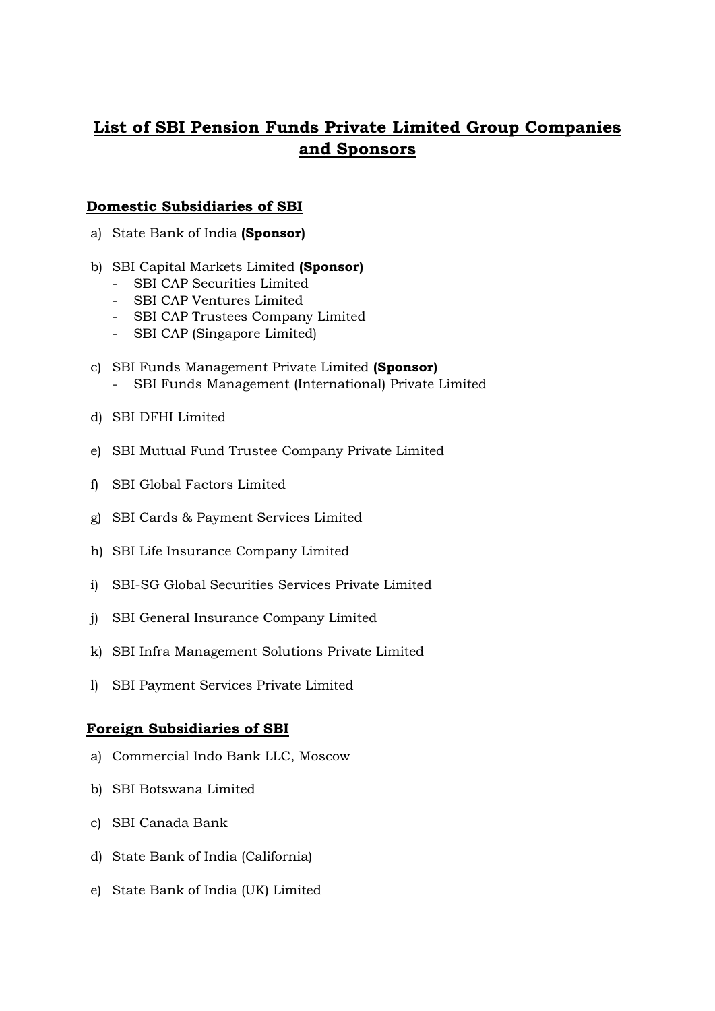# **List of SBI Pension Funds Private Limited Group Companies and Sponsors**

## **Domestic Subsidiaries of SBI**

- a) State Bank of India **(Sponsor)**
- b) SBI Capital Markets Limited **(Sponsor)**
	- SBI CAP Securities Limited
	- SBI CAP Ventures Limited
	- SBI CAP Trustees Company Limited
	- SBI CAP (Singapore Limited)
- c) SBI Funds Management Private Limited **(Sponsor)** - SBI Funds Management (International) Private Limited
- d) SBI DFHI Limited
- e) SBI Mutual Fund Trustee Company Private Limited
- f) SBI Global Factors Limited
- g) SBI Cards & Payment Services Limited
- h) SBI Life Insurance Company Limited
- i) SBI-SG Global Securities Services Private Limited
- j) SBI General Insurance Company Limited
- k) SBI Infra Management Solutions Private Limited
- l) SBI Payment Services Private Limited

#### **Foreign Subsidiaries of SBI**

- a) Commercial Indo Bank LLC, Moscow
- b) SBI Botswana Limited
- c) SBI Canada Bank
- d) State Bank of India (California)
- e) State Bank of India (UK) Limited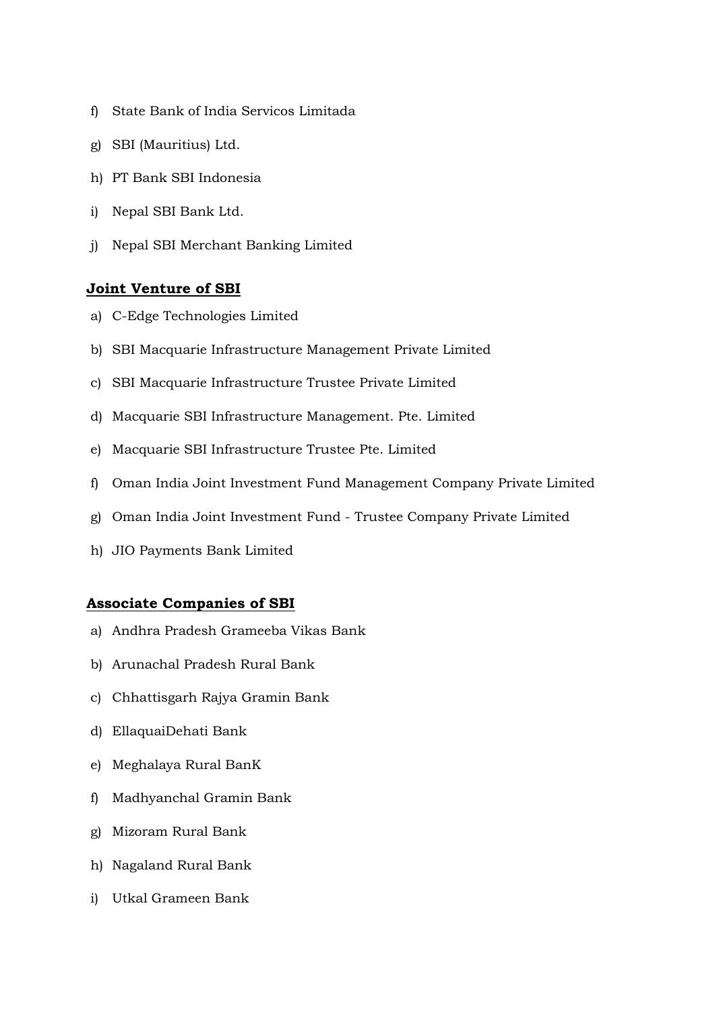- f) State Bank of India Servicos Limitada
- g) SBI (Mauritius) Ltd.
- h) PT Bank SBI Indonesia
- i) Nepal SBI Bank Ltd.
- j) Nepal SBI Merchant Banking Limited

### **Joint Venture of SBI**

- a) C-Edge Technologies Limited
- b) SBI Macquarie Infrastructure Management Private Limited
- c) SBI Macquarie Infrastructure Trustee Private Limited
- d) Macquarie SBI Infrastructure Management. Pte. Limited
- e) Macquarie SBI Infrastructure Trustee Pte. Limited
- f) Oman India Joint Investment Fund Management Company Private Limited
- g) Oman India Joint Investment Fund Trustee Company Private Limited
- h) JIO Payments Bank Limited

# **Associate Companies of SBI**

- a) Andhra Pradesh Grameeba Vikas Bank
- b) Arunachal Pradesh Rural Bank
- c) Chhattisgarh Rajya Gramin Bank
- d) EllaquaiDehati Bank
- e) Meghalaya Rural BanK
- f) Madhyanchal Gramin Bank
- g) Mizoram Rural Bank
- h) Nagaland Rural Bank
- i) Utkal Grameen Bank